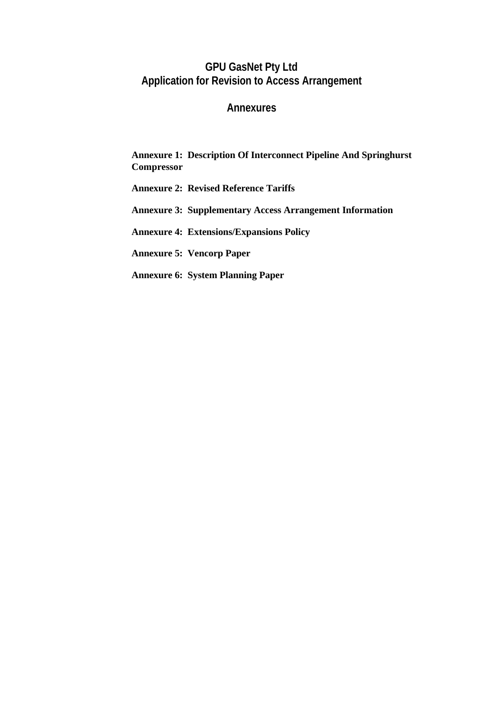# **GPU GasNet Pty Ltd Application for Revision to Access Arrangement**

# **Annexures**

# **Annexure 1: Description Of Interconnect Pipeline And Springhurst Compressor**

- **Annexure 2: Revised Reference Tariffs**
- **Annexure 3: Supplementary Access Arrangement Information**
- **Annexure 4: Extensions/Expansions Policy**
- **Annexure 5: Vencorp Paper**
- **Annexure 6: System Planning Paper**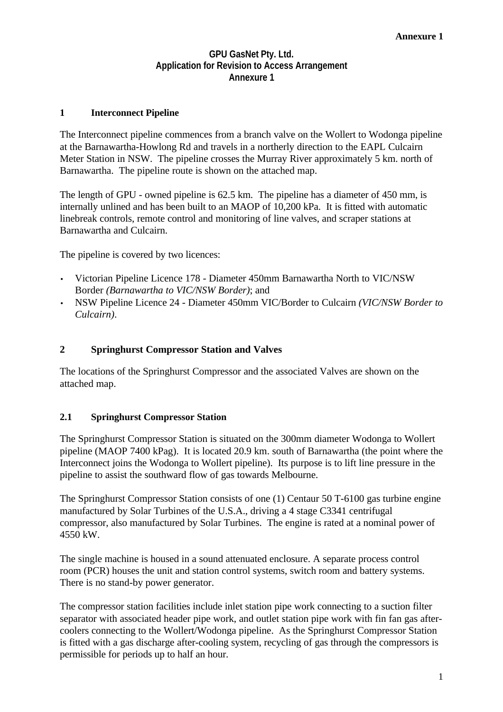# **GPU GasNet Pty. Ltd. Application for Revision to Access Arrangement Annexure 1**

# **1 Interconnect Pipeline**

The Interconnect pipeline commences from a branch valve on the Wollert to Wodonga pipeline at the Barnawartha-Howlong Rd and travels in a northerly direction to the EAPL Culcairn Meter Station in NSW. The pipeline crosses the Murray River approximately 5 km. north of Barnawartha. The pipeline route is shown on the attached map.

The length of GPU - owned pipeline is 62.5 km. The pipeline has a diameter of 450 mm, is internally unlined and has been built to an MAOP of 10,200 kPa. It is fitted with automatic linebreak controls, remote control and monitoring of line valves, and scraper stations at Barnawartha and Culcairn.

The pipeline is covered by two licences:

- Victorian Pipeline Licence 178 Diameter 450mm Barnawartha North to VIC/NSW Border *(Barnawartha to VIC/NSW Border)*; and
- NSW Pipeline Licence 24 Diameter 450mm VIC/Border to Culcairn *(VIC/NSW Border to Culcairn)*.

#### **2 Springhurst Compressor Station and Valves**

The locations of the Springhurst Compressor and the associated Valves are shown on the attached map.

## **2.1 Springhurst Compressor Station**

The Springhurst Compressor Station is situated on the 300mm diameter Wodonga to Wollert pipeline (MAOP 7400 kPag). It is located 20.9 km. south of Barnawartha (the point where the Interconnect joins the Wodonga to Wollert pipeline). Its purpose is to lift line pressure in the pipeline to assist the southward flow of gas towards Melbourne.

The Springhurst Compressor Station consists of one (1) Centaur 50 T-6100 gas turbine engine manufactured by Solar Turbines of the U.S.A., driving a 4 stage C3341 centrifugal compressor, also manufactured by Solar Turbines. The engine is rated at a nominal power of 4550 kW.

The single machine is housed in a sound attenuated enclosure. A separate process control room (PCR) houses the unit and station control systems, switch room and battery systems. There is no stand-by power generator.

The compressor station facilities include inlet station pipe work connecting to a suction filter separator with associated header pipe work, and outlet station pipe work with fin fan gas aftercoolers connecting to the Wollert/Wodonga pipeline. As the Springhurst Compressor Station is fitted with a gas discharge after-cooling system, recycling of gas through the compressors is permissible for periods up to half an hour.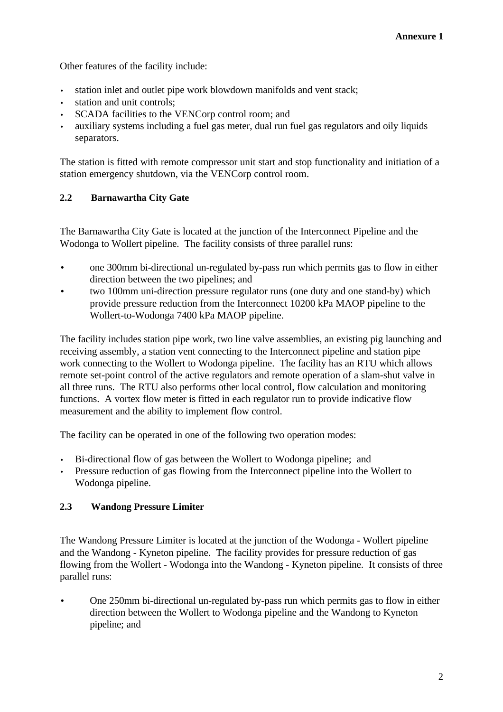Other features of the facility include:

- station inlet and outlet pipe work blowdown manifolds and vent stack:
- station and unit controls;
- SCADA facilities to the VENCorp control room; and
- auxiliary systems including a fuel gas meter, dual run fuel gas regulators and oily liquids separators.

The station is fitted with remote compressor unit start and stop functionality and initiation of a station emergency shutdown, via the VENCorp control room.

# **2.2 Barnawartha City Gate**

The Barnawartha City Gate is located at the junction of the Interconnect Pipeline and the Wodonga to Wollert pipeline. The facility consists of three parallel runs:

- one 300mm bi-directional un-regulated by-pass run which permits gas to flow in either direction between the two pipelines; and
- two 100mm uni-direction pressure regulator runs (one duty and one stand-by) which provide pressure reduction from the Interconnect 10200 kPa MAOP pipeline to the Wollert-to-Wodonga 7400 kPa MAOP pipeline.

The facility includes station pipe work, two line valve assemblies, an existing pig launching and receiving assembly, a station vent connecting to the Interconnect pipeline and station pipe work connecting to the Wollert to Wodonga pipeline. The facility has an RTU which allows remote set-point control of the active regulators and remote operation of a slam-shut valve in all three runs. The RTU also performs other local control, flow calculation and monitoring functions. A vortex flow meter is fitted in each regulator run to provide indicative flow measurement and the ability to implement flow control.

The facility can be operated in one of the following two operation modes:

- Bi-directional flow of gas between the Wollert to Wodonga pipeline; and
- Pressure reduction of gas flowing from the Interconnect pipeline into the Wollert to Wodonga pipeline.

# **2.3 Wandong Pressure Limiter**

The Wandong Pressure Limiter is located at the junction of the Wodonga - Wollert pipeline and the Wandong - Kyneton pipeline. The facility provides for pressure reduction of gas flowing from the Wollert - Wodonga into the Wandong - Kyneton pipeline. It consists of three parallel runs:

• One 250mm bi-directional un-regulated by-pass run which permits gas to flow in either direction between the Wollert to Wodonga pipeline and the Wandong to Kyneton pipeline; and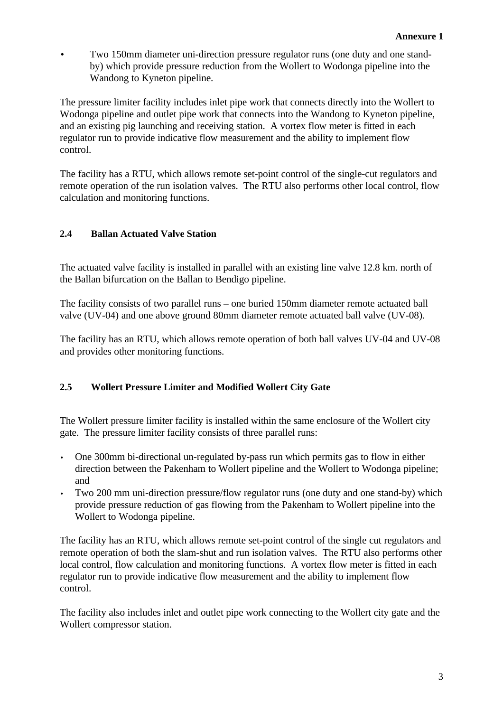• Two 150mm diameter uni-direction pressure regulator runs (one duty and one standby) which provide pressure reduction from the Wollert to Wodonga pipeline into the Wandong to Kyneton pipeline.

The pressure limiter facility includes inlet pipe work that connects directly into the Wollert to Wodonga pipeline and outlet pipe work that connects into the Wandong to Kyneton pipeline, and an existing pig launching and receiving station. A vortex flow meter is fitted in each regulator run to provide indicative flow measurement and the ability to implement flow control.

The facility has a RTU, which allows remote set-point control of the single-cut regulators and remote operation of the run isolation valves. The RTU also performs other local control, flow calculation and monitoring functions.

# **2.4 Ballan Actuated Valve Station**

The actuated valve facility is installed in parallel with an existing line valve 12.8 km. north of the Ballan bifurcation on the Ballan to Bendigo pipeline.

The facility consists of two parallel runs – one buried 150mm diameter remote actuated ball valve (UV-04) and one above ground 80mm diameter remote actuated ball valve (UV-08).

The facility has an RTU, which allows remote operation of both ball valves UV-04 and UV-08 and provides other monitoring functions.

# **2.5 Wollert Pressure Limiter and Modified Wollert City Gate**

The Wollert pressure limiter facility is installed within the same enclosure of the Wollert city gate. The pressure limiter facility consists of three parallel runs:

- One 300mm bi-directional un-regulated by-pass run which permits gas to flow in either direction between the Pakenham to Wollert pipeline and the Wollert to Wodonga pipeline; and
- Two 200 mm uni-direction pressure/flow regulator runs (one duty and one stand-by) which provide pressure reduction of gas flowing from the Pakenham to Wollert pipeline into the Wollert to Wodonga pipeline.

The facility has an RTU, which allows remote set-point control of the single cut regulators and remote operation of both the slam-shut and run isolation valves. The RTU also performs other local control, flow calculation and monitoring functions. A vortex flow meter is fitted in each regulator run to provide indicative flow measurement and the ability to implement flow control.

The facility also includes inlet and outlet pipe work connecting to the Wollert city gate and the Wollert compressor station.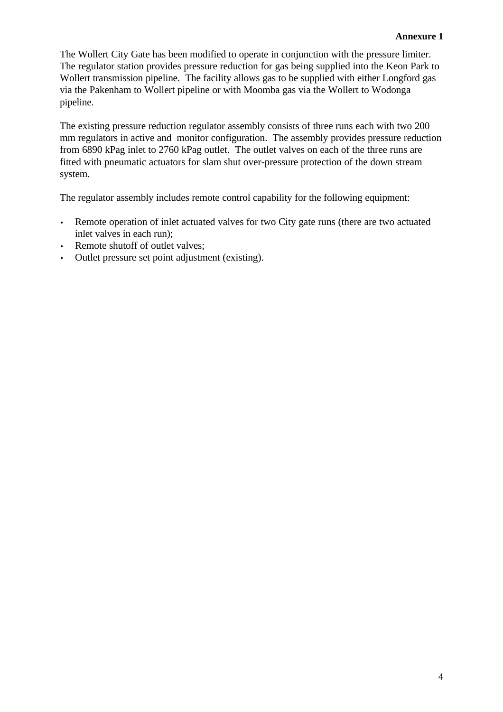The Wollert City Gate has been modified to operate in conjunction with the pressure limiter. The regulator station provides pressure reduction for gas being supplied into the Keon Park to Wollert transmission pipeline. The facility allows gas to be supplied with either Longford gas via the Pakenham to Wollert pipeline or with Moomba gas via the Wollert to Wodonga pipeline.

The existing pressure reduction regulator assembly consists of three runs each with two 200 mm regulators in active and monitor configuration. The assembly provides pressure reduction from 6890 kPag inlet to 2760 kPag outlet. The outlet valves on each of the three runs are fitted with pneumatic actuators for slam shut over-pressure protection of the down stream system.

The regulator assembly includes remote control capability for the following equipment:

- Remote operation of inlet actuated valves for two City gate runs (there are two actuated inlet valves in each run);
- Remote shutoff of outlet valves;
- Outlet pressure set point adjustment (existing).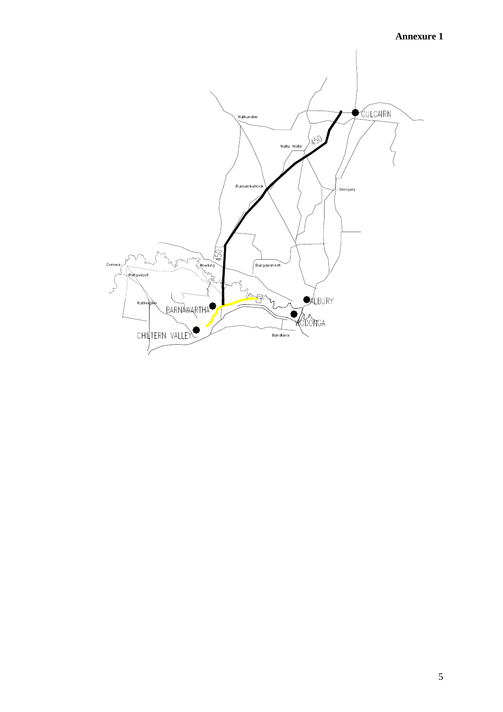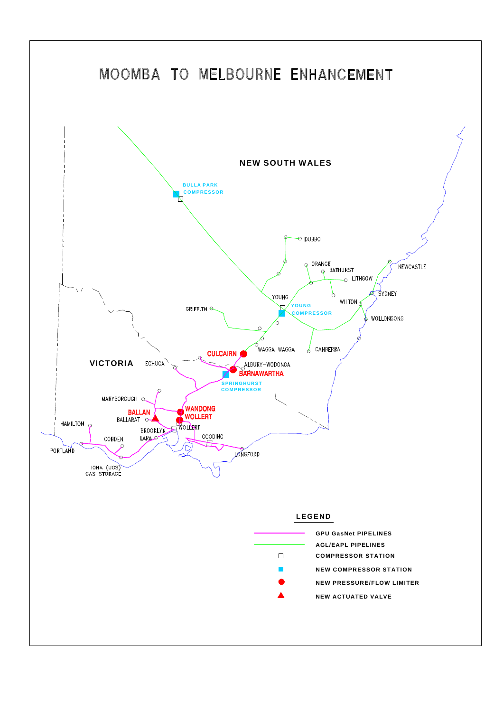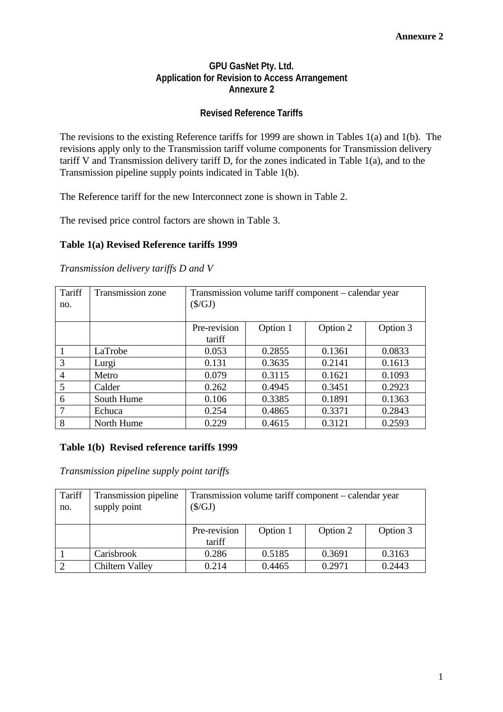# **GPU GasNet Pty. Ltd. Application for Revision to Access Arrangement Annexure 2**

# **Revised Reference Tariffs**

The revisions to the existing Reference tariffs for 1999 are shown in Tables 1(a) and 1(b). The revisions apply only to the Transmission tariff volume components for Transmission delivery tariff V and Transmission delivery tariff D, for the zones indicated in Table 1(a), and to the Transmission pipeline supply points indicated in Table 1(b).

The Reference tariff for the new Interconnect zone is shown in Table 2.

The revised price control factors are shown in Table 3.

#### **Table 1(a) Revised Reference tariffs 1999**

*Transmission delivery tariffs D and V*

| Tariff<br>no.  | Transmission zone | Transmission volume tariff component - calendar year<br>$(\$/GJ)$ |          |          |          |  |
|----------------|-------------------|-------------------------------------------------------------------|----------|----------|----------|--|
|                |                   | Pre-revision<br>tariff                                            | Option 1 | Option 2 | Option 3 |  |
|                | LaTrobe           | 0.053                                                             | 0.2855   | 0.1361   | 0.0833   |  |
| 3              | Lurgi             | 0.131                                                             | 0.3635   | 0.2141   | 0.1613   |  |
| $\overline{4}$ | Metro             | 0.079                                                             | 0.3115   | 0.1621   | 0.1093   |  |
| 5              | Calder            | 0.262                                                             | 0.4945   | 0.3451   | 0.2923   |  |
| 6              | South Hume        | 0.106                                                             | 0.3385   | 0.1891   | 0.1363   |  |
| 7              | Echuca            | 0.254                                                             | 0.4865   | 0.3371   | 0.2843   |  |
| 8              | North Hume        | 0.229                                                             | 0.4615   | 0.3121   | 0.2593   |  |

#### **Table 1(b) Revised reference tariffs 1999**

*Transmission pipeline supply point tariffs*

| Tariff<br>no. | Transmission pipeline<br>supply point | Transmission volume tariff component - calendar year<br>$(\$/GJ)$ |          |          |          |  |
|---------------|---------------------------------------|-------------------------------------------------------------------|----------|----------|----------|--|
|               |                                       | Pre-revision                                                      | Option 1 | Option 2 | Option 3 |  |
|               |                                       | tariff                                                            |          |          |          |  |
|               | Carisbrook                            | 0.286                                                             | 0.5185   | 0.3691   | 0.3163   |  |
|               | Chiltern Valley                       | 0.214                                                             | 0.4465   | 0.2971   | 0.2443   |  |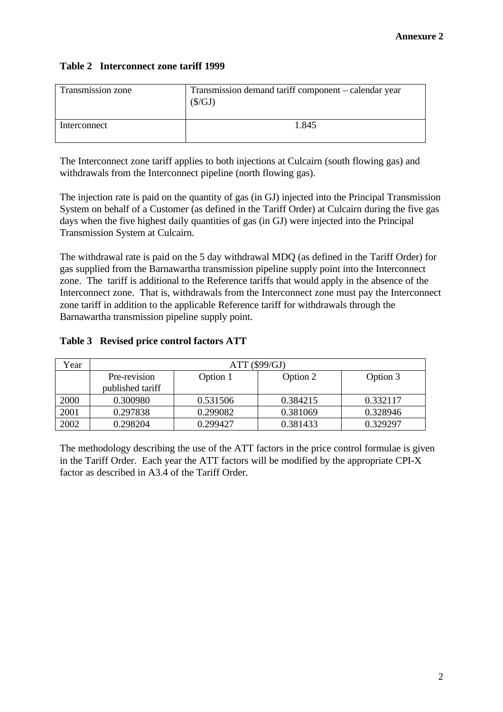# **Table 2 Interconnect zone tariff 1999**

| Transmission zone | Transmission demand tariff component – calendar year<br>(S/GJ) |
|-------------------|----------------------------------------------------------------|
| Interconnect      | 1.845                                                          |

The Interconnect zone tariff applies to both injections at Culcairn (south flowing gas) and withdrawals from the Interconnect pipeline (north flowing gas).

The injection rate is paid on the quantity of gas (in GJ) injected into the Principal Transmission System on behalf of a Customer (as defined in the Tariff Order) at Culcairn during the five gas days when the five highest daily quantities of gas (in GJ) were injected into the Principal Transmission System at Culcairn.

The withdrawal rate is paid on the 5 day withdrawal MDQ (as defined in the Tariff Order) for gas supplied from the Barnawartha transmission pipeline supply point into the Interconnect zone. The tariff is additional to the Reference tariffs that would apply in the absence of the Interconnect zone. That is, withdrawals from the Interconnect zone must pay the Interconnect zone tariff in addition to the applicable Reference tariff for withdrawals through the Barnawartha transmission pipeline supply point.

# **Table 3 Revised price control factors ATT**

| Year | ATT (\$99/GJ)    |          |          |          |  |  |
|------|------------------|----------|----------|----------|--|--|
|      | Pre-revision     | Option 1 | Option 2 | Option 3 |  |  |
|      | published tariff |          |          |          |  |  |
| 2000 | 0.300980         | 0.531506 | 0.384215 | 0.332117 |  |  |
| 2001 | 0.297838         | 0.299082 | 0.381069 | 0.328946 |  |  |
| 2002 | 0.298204         | 0.299427 | 0.381433 | 0.329297 |  |  |

The methodology describing the use of the ATT factors in the price control formulae is given in the Tariff Order. Each year the ATT factors will be modified by the appropriate CPI-X factor as described in A3.4 of the Tariff Order.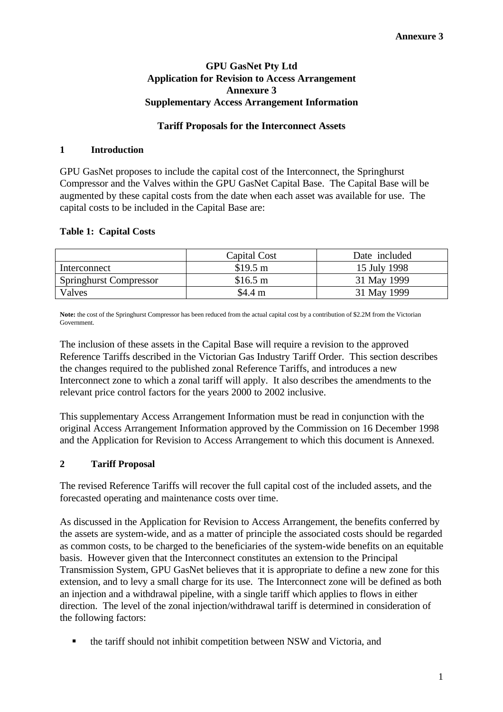# **GPU GasNet Pty Ltd Application for Revision to Access Arrangement Annexure 3 Supplementary Access Arrangement Information**

# **Tariff Proposals for the Interconnect Assets**

#### **1 Introduction**

GPU GasNet proposes to include the capital cost of the Interconnect, the Springhurst Compressor and the Valves within the GPU GasNet Capital Base. The Capital Base will be augmented by these capital costs from the date when each asset was available for use. The capital costs to be included in the Capital Base are:

#### **Table 1: Capital Costs**

|                               | Capital Cost      | Date included |
|-------------------------------|-------------------|---------------|
| Interconnect                  | $$19.5 \text{ m}$ | 15 July 1998  |
| <b>Springhurst Compressor</b> | $$16.5 \text{ m}$ | 31 May 1999   |
| Valves                        | \$4.4 m           | 31 May 1999   |

**Note:** the cost of the Springhurst Compressor has been reduced from the actual capital cost by a contribution of \$2.2M from the Victorian Government.

The inclusion of these assets in the Capital Base will require a revision to the approved Reference Tariffs described in the Victorian Gas Industry Tariff Order. This section describes the changes required to the published zonal Reference Tariffs, and introduces a new Interconnect zone to which a zonal tariff will apply. It also describes the amendments to the relevant price control factors for the years 2000 to 2002 inclusive.

This supplementary Access Arrangement Information must be read in conjunction with the original Access Arrangement Information approved by the Commission on 16 December 1998 and the Application for Revision to Access Arrangement to which this document is Annexed.

# **2 Tariff Proposal**

The revised Reference Tariffs will recover the full capital cost of the included assets, and the forecasted operating and maintenance costs over time.

As discussed in the Application for Revision to Access Arrangement, the benefits conferred by the assets are system-wide, and as a matter of principle the associated costs should be regarded as common costs, to be charged to the beneficiaries of the system-wide benefits on an equitable basis. However given that the Interconnect constitutes an extension to the Principal Transmission System, GPU GasNet believes that it is appropriate to define a new zone for this extension, and to levy a small charge for its use. The Interconnect zone will be defined as both an injection and a withdrawal pipeline, with a single tariff which applies to flows in either direction. The level of the zonal injection/withdrawal tariff is determined in consideration of the following factors:

**•** the tariff should not inhibit competition between NSW and Victoria, and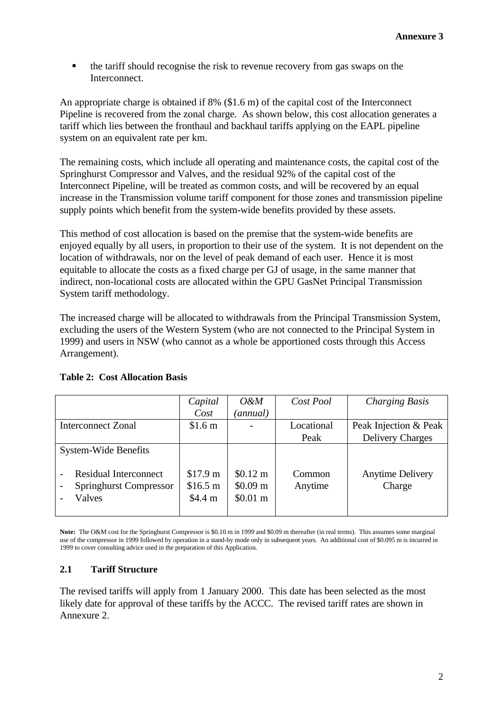• the tariff should recognise the risk to revenue recovery from gas swaps on the Interconnect.

An appropriate charge is obtained if 8% (\$1.6 m) of the capital cost of the Interconnect Pipeline is recovered from the zonal charge. As shown below, this cost allocation generates a tariff which lies between the fronthaul and backhaul tariffs applying on the EAPL pipeline system on an equivalent rate per km.

The remaining costs, which include all operating and maintenance costs, the capital cost of the Springhurst Compressor and Valves, and the residual 92% of the capital cost of the Interconnect Pipeline, will be treated as common costs, and will be recovered by an equal increase in the Transmission volume tariff component for those zones and transmission pipeline supply points which benefit from the system-wide benefits provided by these assets.

This method of cost allocation is based on the premise that the system-wide benefits are enjoyed equally by all users, in proportion to their use of the system. It is not dependent on the location of withdrawals, nor on the level of peak demand of each user. Hence it is most equitable to allocate the costs as a fixed charge per GJ of usage, in the same manner that indirect, non-locational costs are allocated within the GPU GasNet Principal Transmission System tariff methodology.

The increased charge will be allocated to withdrawals from the Principal Transmission System, excluding the users of the Western System (who are not connected to the Principal System in 1999) and users in NSW (who cannot as a whole be apportioned costs through this Access Arrangement).

|                                                                         | Capital                         | $O\&M$                                                      | Cost Pool         | <b>Charging Basis</b>             |
|-------------------------------------------------------------------------|---------------------------------|-------------------------------------------------------------|-------------------|-----------------------------------|
|                                                                         | Cost                            | (annual)                                                    |                   |                                   |
| <b>Interconnect Zonal</b>                                               | \$1.6 <sub>m</sub>              |                                                             | Locational        | Peak Injection & Peak             |
|                                                                         |                                 |                                                             | Peak              | <b>Delivery Charges</b>           |
| <b>System-Wide Benefits</b>                                             |                                 |                                                             |                   |                                   |
| <b>Residual Interconnect</b><br><b>Springhurst Compressor</b><br>Valves | \$17.9 m<br>\$16.5 m<br>\$4.4 m | $$0.12 \text{ m}$<br>$$0.09 \text{ m}$<br>$$0.01 \text{ m}$ | Common<br>Anytime | <b>Anytime Delivery</b><br>Charge |

#### **Table 2: Cost Allocation Basis**

**Note:** The O&M cost for the Springhurst Compressor is \$0.10 m in 1999 and \$0.09 m thereafter (in real terms). This assumes some marginal use of the compressor in 1999 followed by operation in a stand-by mode only in subsequent years. An additional cost of \$0.095 m is incurred in 1999 to cover consulting advice used in the preparation of this Application.

#### **2.1 Tariff Structure**

The revised tariffs will apply from 1 January 2000. This date has been selected as the most likely date for approval of these tariffs by the ACCC. The revised tariff rates are shown in Annexure 2.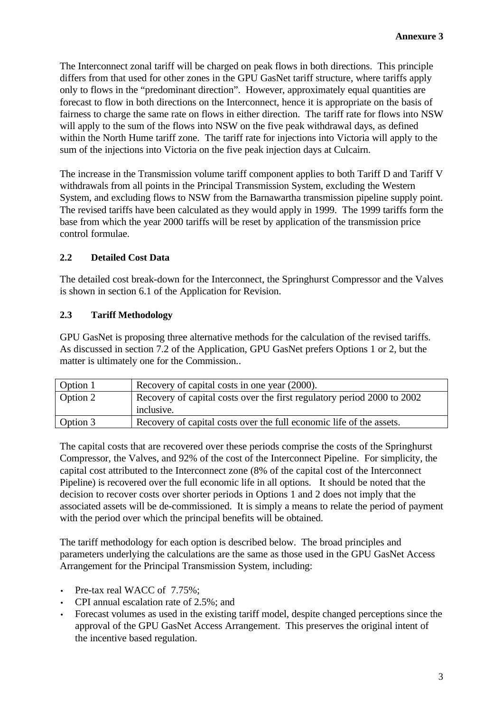The Interconnect zonal tariff will be charged on peak flows in both directions. This principle differs from that used for other zones in the GPU GasNet tariff structure, where tariffs apply only to flows in the "predominant direction". However, approximately equal quantities are forecast to flow in both directions on the Interconnect, hence it is appropriate on the basis of fairness to charge the same rate on flows in either direction. The tariff rate for flows into NSW will apply to the sum of the flows into NSW on the five peak withdrawal days, as defined within the North Hume tariff zone. The tariff rate for injections into Victoria will apply to the sum of the injections into Victoria on the five peak injection days at Culcairn.

The increase in the Transmission volume tariff component applies to both Tariff D and Tariff V withdrawals from all points in the Principal Transmission System, excluding the Western System, and excluding flows to NSW from the Barnawartha transmission pipeline supply point. The revised tariffs have been calculated as they would apply in 1999. The 1999 tariffs form the base from which the year 2000 tariffs will be reset by application of the transmission price control formulae.

# **2.2 Detailed Cost Data**

The detailed cost break-down for the Interconnect, the Springhurst Compressor and the Valves is shown in section 6.1 of the Application for Revision.

# **2.3 Tariff Methodology**

GPU GasNet is proposing three alternative methods for the calculation of the revised tariffs. As discussed in section 7.2 of the Application, GPU GasNet prefers Options 1 or 2, but the matter is ultimately one for the Commission..

| Option 1 | Recovery of capital costs in one year (2000).                           |
|----------|-------------------------------------------------------------------------|
| Option 2 | Recovery of capital costs over the first regulatory period 2000 to 2002 |
|          | inclusive.                                                              |
| Option 3 | Recovery of capital costs over the full economic life of the assets.    |

The capital costs that are recovered over these periods comprise the costs of the Springhurst Compressor, the Valves, and 92% of the cost of the Interconnect Pipeline. For simplicity, the capital cost attributed to the Interconnect zone (8% of the capital cost of the Interconnect Pipeline) is recovered over the full economic life in all options. It should be noted that the decision to recover costs over shorter periods in Options 1 and 2 does not imply that the associated assets will be de-commissioned. It is simply a means to relate the period of payment with the period over which the principal benefits will be obtained.

The tariff methodology for each option is described below. The broad principles and parameters underlying the calculations are the same as those used in the GPU GasNet Access Arrangement for the Principal Transmission System, including:

- Pre-tax real WACC of 7.75%;
- CPI annual escalation rate of 2.5%; and
- Forecast volumes as used in the existing tariff model, despite changed perceptions since the approval of the GPU GasNet Access Arrangement. This preserves the original intent of the incentive based regulation.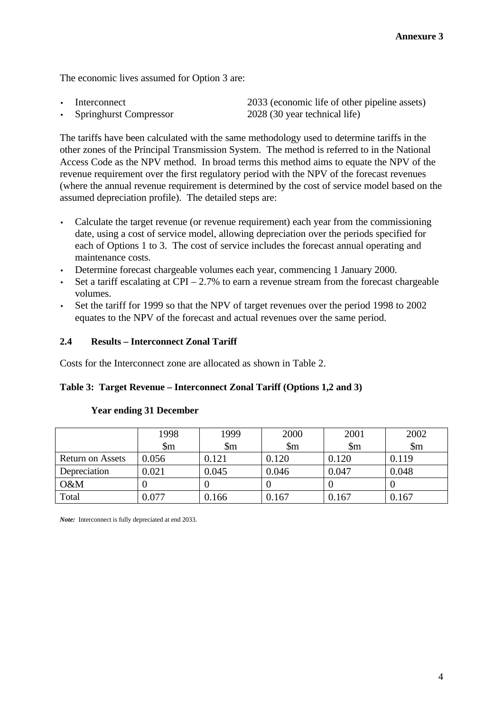The economic lives assumed for Option 3 are:

```
Interconnect 2033 (economic life of other pipeline assets)
• Springhurst Compressor 2028 (30 year technical life)
```
The tariffs have been calculated with the same methodology used to determine tariffs in the other zones of the Principal Transmission System. The method is referred to in the National Access Code as the NPV method. In broad terms this method aims to equate the NPV of the revenue requirement over the first regulatory period with the NPV of the forecast revenues (where the annual revenue requirement is determined by the cost of service model based on the assumed depreciation profile). The detailed steps are:

- Calculate the target revenue (or revenue requirement) each year from the commissioning date, using a cost of service model, allowing depreciation over the periods specified for each of Options 1 to 3. The cost of service includes the forecast annual operating and maintenance costs.
- Determine forecast chargeable volumes each year, commencing 1 January 2000.
- Set a tariff escalating at  $CPI 2.7\%$  to earn a revenue stream from the forecast chargeable volumes.
- Set the tariff for 1999 so that the NPV of target revenues over the period 1998 to 2002 equates to the NPV of the forecast and actual revenues over the same period.

# **2.4 Results – Interconnect Zonal Tariff**

Costs for the Interconnect zone are allocated as shown in Table 2.

#### **Table 3: Target Revenue – Interconnect Zonal Tariff (Options 1,2 and 3)**

|                  | 1998      | 1999                       | 2000                   | 2001                   | 2002                   |
|------------------|-----------|----------------------------|------------------------|------------------------|------------------------|
|                  | \$m       | $\mathop{\rm Sm}\nolimits$ | $\mathop{\mathrm{Sm}}$ | $\mathop{\mathrm{Sm}}$ | $\mathop{\mathrm{Sm}}$ |
| Return on Assets | 0.056     | 0.121                      | 0.120                  | 0.120                  | 0.119                  |
| Depreciation     | 0.021     | 0.045                      | 0.046                  | 0.047                  | 0.048                  |
| O&M              |           |                            |                        |                        |                        |
| Total            | $0.077\,$ | 0.166                      | 0.167                  | 0.167                  | 0.167                  |

#### **Year ending 31 December**

*Note:* Interconnect is fully depreciated at end 2033.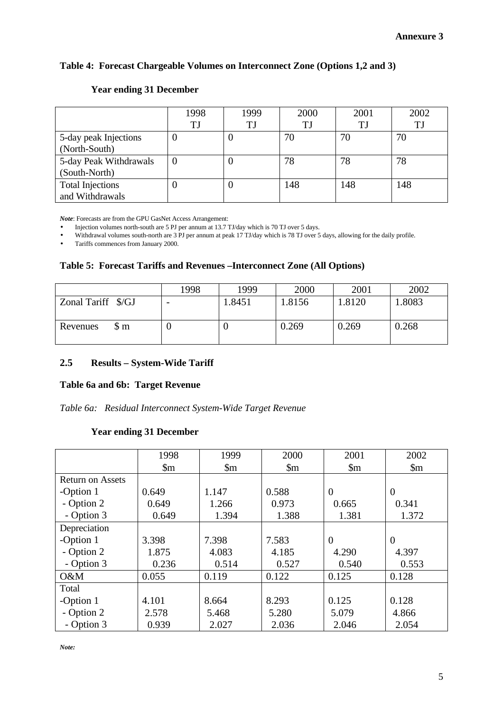# **Table 4: Forecast Chargeable Volumes on Interconnect Zone (Options 1,2 and 3)**

|                         | 1998 | 1999 | 2000 | 2001      | 2002 |
|-------------------------|------|------|------|-----------|------|
|                         | TJ   | TJ   | TJ   | <b>TJ</b> | TJ   |
| 5-day peak Injections   |      | U    | 70   | 70        | 70   |
| (North-South)           |      |      |      |           |      |
| 5-day Peak Withdrawals  |      | U    | 78   | 78        | 78   |
| (South-North)           |      |      |      |           |      |
| <b>Total Injections</b> |      | U    | 148  | 148       | 148  |
| and Withdrawals         |      |      |      |           |      |

## **Year ending 31 December**

*Note*: Forecasts are from the GPU GasNet Access Arrangement:

• Injection volumes north-south are 5 PJ per annum at 13.7 TJ/day which is 70 TJ over 5 days.

• Withdrawal volumes south-north are 3 PJ per annum at peak 17 TJ/day which is 78 TJ over 5 days, allowing for the daily profile.

• Tariffs commences from January 2000.

#### **Table 5: Forecast Tariffs and Revenues –Interconnect Zone (All Options)**

|                    | 1998 | 1999   | 2000   | 2001   | 2002   |
|--------------------|------|--------|--------|--------|--------|
| Zonal Tariff \$/GJ |      | 1.8451 | 1.8156 | 1.8120 | 1.8083 |
| \$ m<br>Revenues   |      |        | 0.269  | 0.269  | 0.268  |

# **2.5 Results – System-Wide Tariff**

#### **Table 6a and 6b: Target Revenue**

*Table 6a: Residual Interconnect System-Wide Target Revenue*

#### **Year ending 31 December**

|                         | 1998                   | 1999                   | 2000                   | 2001                   | 2002                   |
|-------------------------|------------------------|------------------------|------------------------|------------------------|------------------------|
|                         | $\mathop{\mathrm{Sm}}$ | $\mathop{\mathrm{Sm}}$ | $\mathop{\mathrm{Sm}}$ | $\mathop{\mathrm{Sm}}$ | $\mathop{\mathrm{Sm}}$ |
| <b>Return on Assets</b> |                        |                        |                        |                        |                        |
| -Option 1               | 0.649                  | 1.147                  | 0.588                  | $\overline{0}$         | $\theta$               |
| - Option 2              | 0.649                  | 1.266                  | 0.973                  | 0.665                  | 0.341                  |
| - Option 3              | 0.649                  | 1.394                  | 1.388                  | 1.381                  | 1.372                  |
| Depreciation            |                        |                        |                        |                        |                        |
| -Option 1               | 3.398                  | 7.398                  | 7.583                  | $\theta$               | $\overline{0}$         |
| - Option 2              | 1.875                  | 4.083                  | 4.185                  | 4.290                  | 4.397                  |
| - Option 3              | 0.236                  | 0.514                  | 0.527                  | 0.540                  | 0.553                  |
| $O\&M$                  | 0.055                  | 0.119                  | 0.122                  | 0.125                  | 0.128                  |
| Total                   |                        |                        |                        |                        |                        |
| -Option 1               | 4.101                  | 8.664                  | 8.293                  | 0.125                  | 0.128                  |
| - Option 2              | 2.578                  | 5.468                  | 5.280                  | 5.079                  | 4.866                  |
| - Option 3              | 0.939                  | 2.027                  | 2.036                  | 2.046                  | 2.054                  |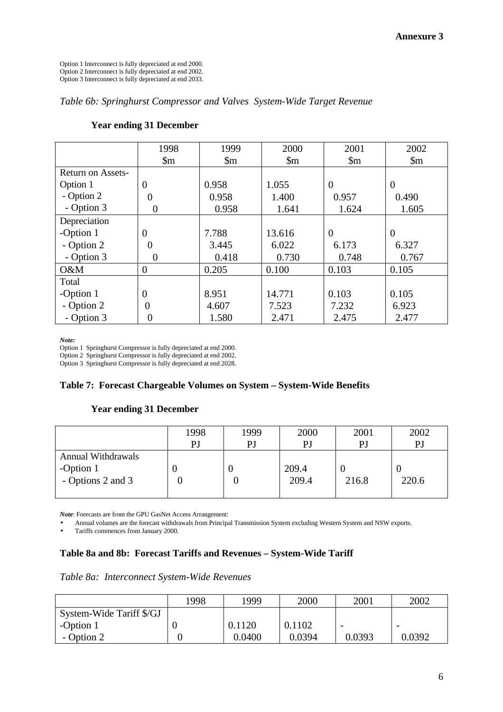Option 1 Interconnect is fully depreciated at end 2000. Option 2 Interconnect is fully depreciated at end 2002. Option 3 Interconnect is fully depreciated at end 2033.

*Table 6b: Springhurst Compressor and Valves System-Wide Target Revenue*

|                   | 1998                   | 1999                   | 2000                   | 2001                   | 2002                   |
|-------------------|------------------------|------------------------|------------------------|------------------------|------------------------|
|                   | $\mathop{\mathrm{Sm}}$ | $\mathop{\mathrm{Sm}}$ | $\mathop{\mathrm{Sm}}$ | $\mathop{\mathrm{Sm}}$ | $\mathop{\mathrm{Sm}}$ |
| Return on Assets- |                        |                        |                        |                        |                        |
| Option 1          | 0                      | 0.958                  | 1.055                  | $\overline{0}$         | $\overline{0}$         |
| - Option 2        | 0                      | 0.958                  | 1.400                  | 0.957                  | 0.490                  |
| - Option 3        | 0                      | 0.958                  | 1.641                  | 1.624                  | 1.605                  |
| Depreciation      |                        |                        |                        |                        |                        |
| -Option 1         | $\overline{0}$         | 7.788                  | 13.616                 | $\theta$               | $\theta$               |
| - Option 2        | 0                      | 3.445                  | 6.022                  | 6.173                  | 6.327                  |
| - Option 3        | 0                      | 0.418                  | 0.730                  | 0.748                  | 0.767                  |
| $O\&M$            | $\overline{0}$         | 0.205                  | 0.100                  | 0.103                  | 0.105                  |
| Total             |                        |                        |                        |                        |                        |
| -Option 1         | $\theta$               | 8.951                  | 14.771                 | 0.103                  | 0.105                  |
| - Option 2        | 0                      | 4.607                  | 7.523                  | 7.232                  | 6.923                  |
| - Option 3        | 0                      | 1.580                  | 2.471                  | 2.475                  | 2.477                  |

#### **Year ending 31 December**

*Note:*

Option 1 Springhurst Compressor is fully depreciated at end 2000.

Option 2 Springhurst Compressor is fully depreciated at end 2002.

Option 3 Springhurst Compressor is fully depreciated at end 2028.

#### **Table 7: Forecast Chargeable Volumes on System – System-Wide Benefits**

#### **Year ending 31 December**

|                                                             | 1998 | 1999 | 2000           | 2001  | 2002  |
|-------------------------------------------------------------|------|------|----------------|-------|-------|
|                                                             | PJ   | PJ   | PJ             | P.    | PJ    |
| <b>Annual Withdrawals</b><br>-Option 1<br>- Options 2 and 3 |      |      | 209.4<br>209.4 | 216.8 | 220.6 |

*Note*: Forecasts are from the GPU GasNet Access Arrangement:

• Annual volumes are the forecast withdrawals from Principal Transmission System excluding Western System and NSW exports.

• Tariffs commences from January 2000.

#### **Table 8a and 8b: Forecast Tariffs and Revenues – System-Wide Tariff**

#### *Table 8a: Interconnect System-Wide Revenues*

|                          | 1998 | 1999   | 2000   | 2001   | 2002   |
|--------------------------|------|--------|--------|--------|--------|
| System-Wide Tariff \$/GJ |      |        |        |        |        |
| -Option 1                |      | 0.1120 | 0.1102 | -      |        |
| - Option 2               |      | 0.0400 | 0.0394 | 0.0393 | 0.0392 |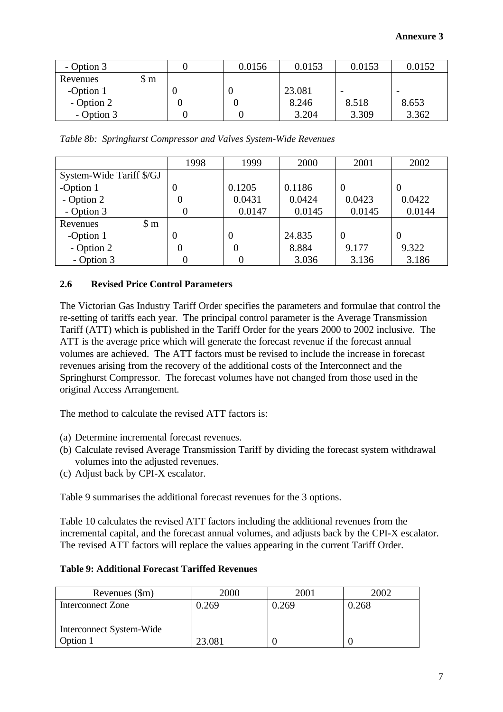| - Option 3 |      | 0.0156 | 0.0153 | 0.0153 | 0.0152 |
|------------|------|--------|--------|--------|--------|
| Revenues   | \$ m |        |        |        |        |
| -Option 1  |      |        | 23.081 |        |        |
| - Option 2 |      |        | 8.246  | 8.518  | 8.653  |
| - Option 3 |      |        | 3.204  | 3.309  | 3.362  |

*Table 8b: Springhurst Compressor and Valves System-Wide Revenues*

|                              | 1998     | 1999   | 2000   | 2001     | 2002     |
|------------------------------|----------|--------|--------|----------|----------|
| System-Wide Tariff \$/GJ     |          |        |        |          |          |
| -Option 1                    |          | 0.1205 | 0.1186 | $\theta$ | $\theta$ |
| - Option 2                   |          | 0.0431 | 0.0424 | 0.0423   | 0.0422   |
| - Option 3                   |          | 0.0147 | 0.0145 | 0.0145   | 0.0144   |
| $\mathfrak{S}$ m<br>Revenues |          |        |        |          |          |
| -Option 1                    | $\theta$ | 0      | 24.835 | $\Omega$ | $\theta$ |
| - Option 2                   |          | 0      | 8.884  | 9.177    | 9.322    |
| - Option 3                   |          |        | 3.036  | 3.136    | 3.186    |

# **2.6 Revised Price Control Parameters**

The Victorian Gas Industry Tariff Order specifies the parameters and formulae that control the re-setting of tariffs each year. The principal control parameter is the Average Transmission Tariff (ATT) which is published in the Tariff Order for the years 2000 to 2002 inclusive. The ATT is the average price which will generate the forecast revenue if the forecast annual volumes are achieved. The ATT factors must be revised to include the increase in forecast revenues arising from the recovery of the additional costs of the Interconnect and the Springhurst Compressor. The forecast volumes have not changed from those used in the original Access Arrangement.

The method to calculate the revised ATT factors is:

- (a) Determine incremental forecast revenues.
- (b) Calculate revised Average Transmission Tariff by dividing the forecast system withdrawal volumes into the adjusted revenues.
- (c) Adjust back by CPI-X escalator.

Table 9 summarises the additional forecast revenues for the 3 options.

Table 10 calculates the revised ATT factors including the additional revenues from the incremental capital, and the forecast annual volumes, and adjusts back by the CPI-X escalator. The revised ATT factors will replace the values appearing in the current Tariff Order.

#### **Table 9: Additional Forecast Tariffed Revenues**

| Revenues (\$m)           | 2000   | 2001  | 2002  |
|--------------------------|--------|-------|-------|
| Interconnect Zone        | ).269  | ).269 | 0.268 |
|                          |        |       |       |
| Interconnect System-Wide |        |       |       |
| Option 1                 | 23.081 |       |       |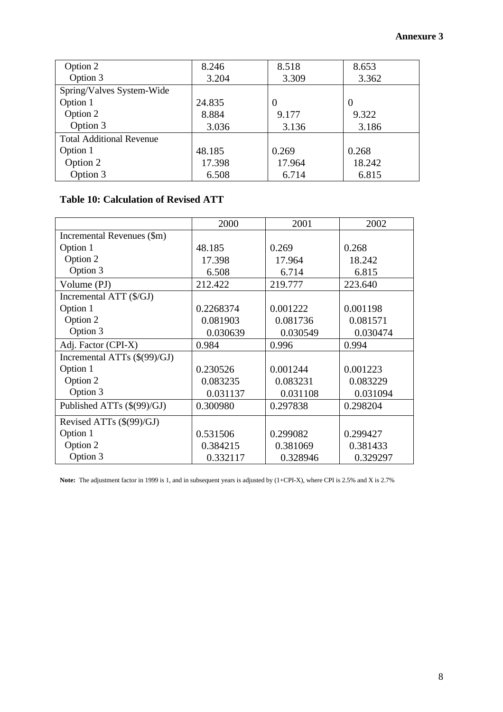| Option 2                        | 8.246  | 8.518    | 8.653    |
|---------------------------------|--------|----------|----------|
| Option 3                        | 3.204  | 3.309    | 3.362    |
| Spring/Valves System-Wide       |        |          |          |
| Option 1                        | 24.835 | $\theta$ | $\theta$ |
| Option 2                        | 8.884  | 9.177    | 9.322    |
| Option 3                        | 3.036  | 3.136    | 3.186    |
| <b>Total Additional Revenue</b> |        |          |          |
| Option 1                        | 48.185 | 0.269    | 0.268    |
| Option 2                        | 17.398 | 17.964   | 18.242   |
| Option 3                        | 6.508  | 6.714    | 6.815    |

# **Table 10: Calculation of Revised ATT**

|                              | 2000      | 2001     | 2002     |
|------------------------------|-----------|----------|----------|
| Incremental Revenues (\$m)   |           |          |          |
| Option 1                     | 48.185    | 0.269    | 0.268    |
| Option 2                     | 17.398    | 17.964   | 18.242   |
| Option 3                     | 6.508     | 6.714    | 6.815    |
| Volume (PJ)                  | 212.422   | 219.777  | 223.640  |
| Incremental ATT (\$/GJ)      |           |          |          |
| Option 1                     | 0.2268374 | 0.001222 | 0.001198 |
| Option 2                     | 0.081903  | 0.081736 | 0.081571 |
| Option 3                     | 0.030639  | 0.030549 | 0.030474 |
| Adj. Factor (CPI-X)          | 0.984     | 0.996    | 0.994    |
| Incremental ATTs (\$(99)/GJ) |           |          |          |
| Option 1                     | 0.230526  | 0.001244 | 0.001223 |
| Option 2                     | 0.083235  | 0.083231 | 0.083229 |
| Option 3                     | 0.031137  | 0.031108 | 0.031094 |
| Published ATTs (\$(99)/GJ)   | 0.300980  | 0.297838 | 0.298204 |
| Revised ATTs (\$(99)/GJ)     |           |          |          |
| Option 1                     | 0.531506  | 0.299082 | 0.299427 |
| Option 2                     | 0.384215  | 0.381069 | 0.381433 |
| Option 3                     | 0.332117  | 0.328946 | 0.329297 |

**Note:** The adjustment factor in 1999 is 1, and in subsequent years is adjusted by (1+CPI-X), where CPI is 2.5% and X is 2.7%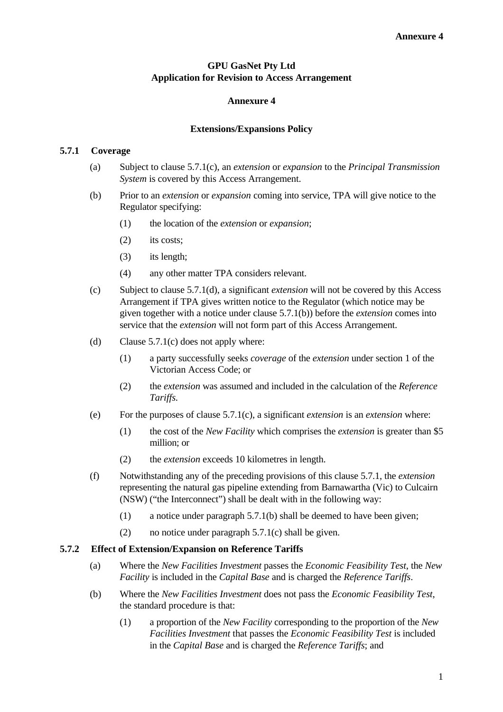# **GPU GasNet Pty Ltd Application for Revision to Access Arrangement**

#### **Annexure 4**

#### **Extensions/Expansions Policy**

#### **5.7.1 Coverage**

- (a) Subject to clause 5.7.1(c), an *extension* or *expansion* to the *Principal Transmission System* is covered by this Access Arrangement.
- (b) Prior to an *extension* or *expansion* coming into service, TPA will give notice to the Regulator specifying:
	- (1) the location of the *extension* or *expansion*;
	- (2) its costs;
	- (3) its length;
	- (4) any other matter TPA considers relevant.
- (c) Subject to clause 5.7.1(d), a significant *extension* will not be covered by this Access Arrangement if TPA gives written notice to the Regulator (which notice may be given together with a notice under clause 5.7.1(b)) before the *extension* comes into service that the *extension* will not form part of this Access Arrangement.
- (d) Clause 5.7.1(c) does not apply where:
	- (1) a party successfully seeks *coverage* of the *extension* under section 1 of the Victorian Access Code; or
	- (2) the *extension* was assumed and included in the calculation of the *Reference Tariffs.*
- (e) For the purposes of clause 5.7.1(c), a significant *extension* is an *extension* where:
	- (1) the cost of the *New Facility* which comprises the *extension* is greater than \$5 million; or
	- (2) the *extension* exceeds 10 kilometres in length.
- (f) Notwithstanding any of the preceding provisions of this clause 5.7.1, the *extension* representing the natural gas pipeline extending from Barnawartha (Vic) to Culcairn (NSW) ("the Interconnect") shall be dealt with in the following way:
	- (1) a notice under paragraph 5.7.1(b) shall be deemed to have been given;
	- (2) no notice under paragraph 5.7.1(c) shall be given.

#### **5.7.2 Effect of Extension/Expansion on Reference Tariffs**

- (a) Where the *New Facilities Investment* passes the *Economic Feasibility Test*, the *New Facility* is included in the *Capital Base* and is charged the *Reference Tariffs*.
- (b) Where the *New Facilities Investment* does not pass the *Economic Feasibility Test*, the standard procedure is that:
	- (1) a proportion of the *New Facility* corresponding to the proportion of the *New Facilities Investment* that passes the *Economic Feasibility Test* is included in the *Capital Base* and is charged the *Reference Tariffs*; and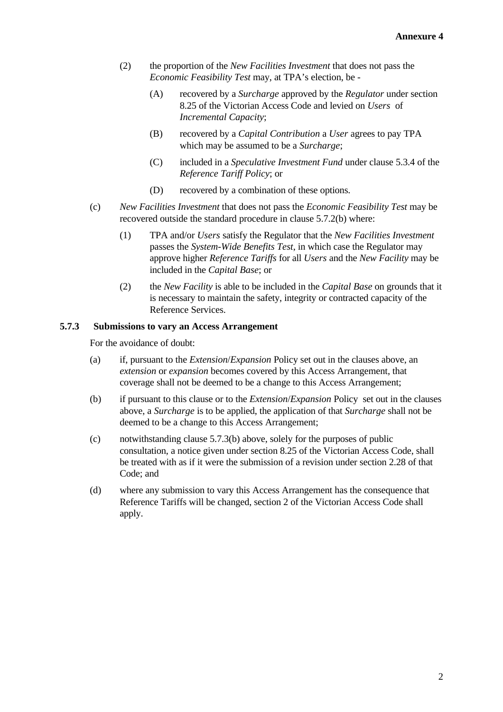- (2) the proportion of the *New Facilities Investment* that does not pass the *Economic Feasibility Test* may, at TPA's election, be -
	- (A) recovered by a *Surcharge* approved by the *Regulator* under section 8.25 of the Victorian Access Code and levied on *Users* of *Incremental Capacity*;
	- (B) recovered by a *Capital Contribution* a *User* agrees to pay TPA which may be assumed to be a *Surcharge*;
	- (C) included in a *Speculative Investment Fund* under clause 5.3.4 of the *Reference Tariff Policy*; or
	- (D) recovered by a combination of these options.
- (c) *New Facilities Investment* that does not pass the *Economic Feasibility Test* may be recovered outside the standard procedure in clause 5.7.2(b) where:
	- (1) TPA and/or *Users* satisfy the Regulator that the *New Facilities Investment* passes the *System-Wide Benefits Test*, in which case the Regulator may approve higher *Reference Tariffs* for all *Users* and the *New Facility* may be included in the *Capital Base*; or
	- (2) the *New Facility* is able to be included in the *Capital Base* on grounds that it is necessary to maintain the safety, integrity or contracted capacity of the Reference Services.

#### **5.7.3 Submissions to vary an Access Arrangement**

For the avoidance of doubt:

- (a) if, pursuant to the *Extension*/*Expansion* Policy set out in the clauses above, an *extension* or *expansion* becomes covered by this Access Arrangement, that coverage shall not be deemed to be a change to this Access Arrangement;
- (b) if pursuant to this clause or to the *Extension*/*Expansion* Policy set out in the clauses above, a *Surcharge* is to be applied, the application of that *Surcharge* shall not be deemed to be a change to this Access Arrangement;
- (c) notwithstanding clause 5.7.3(b) above, solely for the purposes of public consultation, a notice given under section 8.25 of the Victorian Access Code, shall be treated with as if it were the submission of a revision under section 2.28 of that Code; and
- (d) where any submission to vary this Access Arrangement has the consequence that Reference Tariffs will be changed, section 2 of the Victorian Access Code shall apply.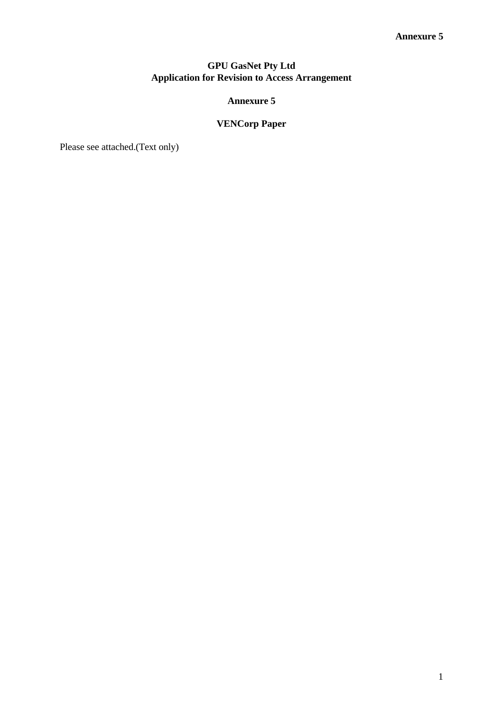# **GPU GasNet Pty Ltd Application for Revision to Access Arrangement**

# **Annexure 5**

# **VENCorp Paper**

Please see attached.(Text only)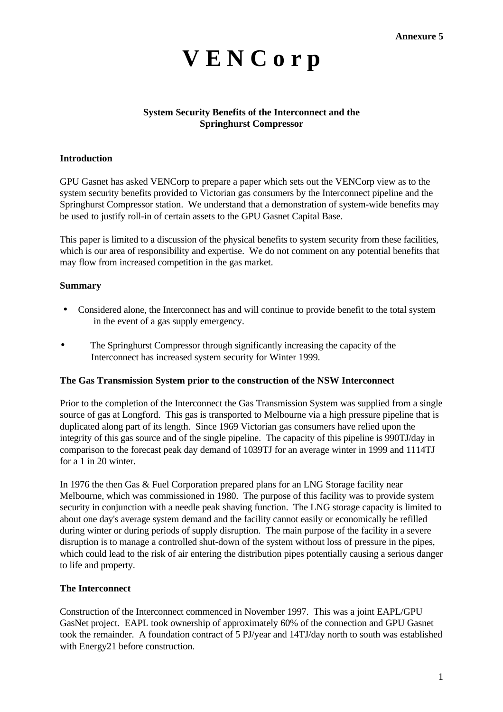# **V E N C o r p**

# **System Security Benefits of the Interconnect and the Springhurst Compressor**

#### **Introduction**

GPU Gasnet has asked VENCorp to prepare a paper which sets out the VENCorp view as to the system security benefits provided to Victorian gas consumers by the Interconnect pipeline and the Springhurst Compressor station. We understand that a demonstration of system-wide benefits may be used to justify roll-in of certain assets to the GPU Gasnet Capital Base.

This paper is limited to a discussion of the physical benefits to system security from these facilities, which is our area of responsibility and expertise. We do not comment on any potential benefits that may flow from increased competition in the gas market.

#### **Summary**

- Considered alone, the Interconnect has and will continue to provide benefit to the total system in the event of a gas supply emergency.
- The Springhurst Compressor through significantly increasing the capacity of the Interconnect has increased system security for Winter 1999.

#### **The Gas Transmission System prior to the construction of the NSW Interconnect**

Prior to the completion of the Interconnect the Gas Transmission System was supplied from a single source of gas at Longford. This gas is transported to Melbourne via a high pressure pipeline that is duplicated along part of its length. Since 1969 Victorian gas consumers have relied upon the integrity of this gas source and of the single pipeline. The capacity of this pipeline is 990TJ/day in comparison to the forecast peak day demand of 1039TJ for an average winter in 1999 and 1114TJ for a 1 in 20 winter.

In 1976 the then Gas & Fuel Corporation prepared plans for an LNG Storage facility near Melbourne, which was commissioned in 1980. The purpose of this facility was to provide system security in conjunction with a needle peak shaving function. The LNG storage capacity is limited to about one day's average system demand and the facility cannot easily or economically be refilled during winter or during periods of supply disruption. The main purpose of the facility in a severe disruption is to manage a controlled shut-down of the system without loss of pressure in the pipes, which could lead to the risk of air entering the distribution pipes potentially causing a serious danger to life and property.

#### **The Interconnect**

Construction of the Interconnect commenced in November 1997. This was a joint EAPL/GPU GasNet project. EAPL took ownership of approximately 60% of the connection and GPU Gasnet took the remainder. A foundation contract of 5 PJ/year and 14TJ/day north to south was established with Energy21 before construction.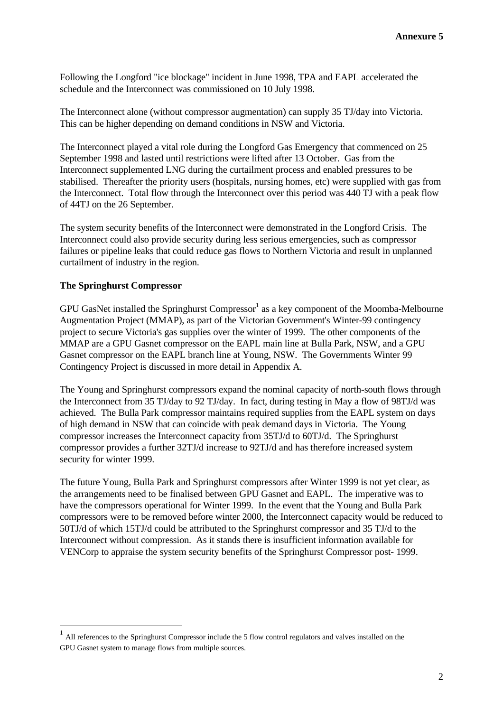Following the Longford "ice blockage" incident in June 1998, TPA and EAPL accelerated the schedule and the Interconnect was commissioned on 10 July 1998.

The Interconnect alone (without compressor augmentation) can supply 35 TJ/day into Victoria. This can be higher depending on demand conditions in NSW and Victoria.

The Interconnect played a vital role during the Longford Gas Emergency that commenced on 25 September 1998 and lasted until restrictions were lifted after 13 October. Gas from the Interconnect supplemented LNG during the curtailment process and enabled pressures to be stabilised. Thereafter the priority users (hospitals, nursing homes, etc) were supplied with gas from the Interconnect. Total flow through the Interconnect over this period was 440 TJ with a peak flow of 44TJ on the 26 September.

The system security benefits of the Interconnect were demonstrated in the Longford Crisis. The Interconnect could also provide security during less serious emergencies, such as compressor failures or pipeline leaks that could reduce gas flows to Northern Victoria and result in unplanned curtailment of industry in the region.

#### **The Springhurst Compressor**

 $\overline{a}$ 

GPU GasNet installed the Springhurst Compressor $1$  as a key component of the Moomba-Melbourne Augmentation Project (MMAP), as part of the Victorian Government's Winter-99 contingency project to secure Victoria's gas supplies over the winter of 1999. The other components of the MMAP are a GPU Gasnet compressor on the EAPL main line at Bulla Park, NSW, and a GPU Gasnet compressor on the EAPL branch line at Young, NSW. The Governments Winter 99 Contingency Project is discussed in more detail in Appendix A.

The Young and Springhurst compressors expand the nominal capacity of north-south flows through the Interconnect from 35 TJ/day to 92 TJ/day. In fact, during testing in May a flow of 98TJ/d was achieved. The Bulla Park compressor maintains required supplies from the EAPL system on days of high demand in NSW that can coincide with peak demand days in Victoria. The Young compressor increases the Interconnect capacity from 35TJ/d to 60TJ/d. The Springhurst compressor provides a further 32TJ/d increase to 92TJ/d and has therefore increased system security for winter 1999.

The future Young, Bulla Park and Springhurst compressors after Winter 1999 is not yet clear, as the arrangements need to be finalised between GPU Gasnet and EAPL. The imperative was to have the compressors operational for Winter 1999. In the event that the Young and Bulla Park compressors were to be removed before winter 2000, the Interconnect capacity would be reduced to 50TJ/d of which 15TJ/d could be attributed to the Springhurst compressor and 35 TJ/d to the Interconnect without compression. As it stands there is insufficient information available for VENCorp to appraise the system security benefits of the Springhurst Compressor post- 1999.

<sup>1</sup> All references to the Springhurst Compressor include the 5 flow control regulators and valves installed on the GPU Gasnet system to manage flows from multiple sources.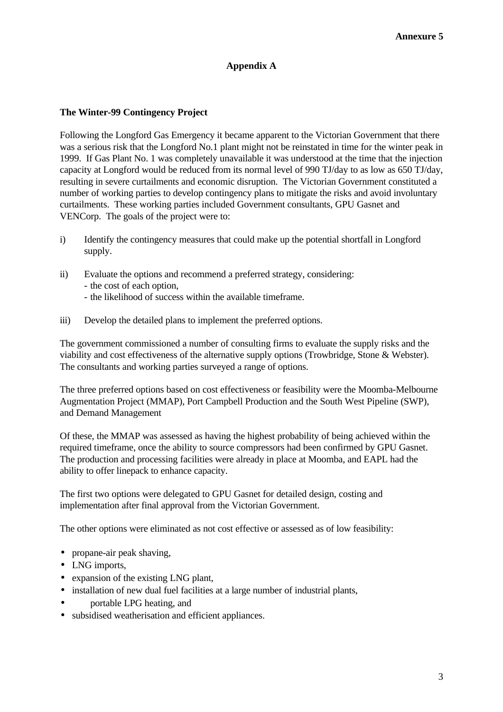# **Appendix A**

#### **The Winter-99 Contingency Project**

Following the Longford Gas Emergency it became apparent to the Victorian Government that there was a serious risk that the Longford No.1 plant might not be reinstated in time for the winter peak in 1999. If Gas Plant No. 1 was completely unavailable it was understood at the time that the injection capacity at Longford would be reduced from its normal level of 990 TJ/day to as low as 650 TJ/day, resulting in severe curtailments and economic disruption. The Victorian Government constituted a number of working parties to develop contingency plans to mitigate the risks and avoid involuntary curtailments. These working parties included Government consultants, GPU Gasnet and VENCorp. The goals of the project were to:

- i) Identify the contingency measures that could make up the potential shortfall in Longford supply.
- ii) Evaluate the options and recommend a preferred strategy, considering: - the cost of each option, - the likelihood of success within the available timeframe.
- iii) Develop the detailed plans to implement the preferred options.

The government commissioned a number of consulting firms to evaluate the supply risks and the viability and cost effectiveness of the alternative supply options (Trowbridge, Stone & Webster). The consultants and working parties surveyed a range of options.

The three preferred options based on cost effectiveness or feasibility were the Moomba-Melbourne Augmentation Project (MMAP), Port Campbell Production and the South West Pipeline (SWP), and Demand Management

Of these, the MMAP was assessed as having the highest probability of being achieved within the required timeframe, once the ability to source compressors had been confirmed by GPU Gasnet. The production and processing facilities were already in place at Moomba, and EAPL had the ability to offer linepack to enhance capacity.

The first two options were delegated to GPU Gasnet for detailed design, costing and implementation after final approval from the Victorian Government.

The other options were eliminated as not cost effective or assessed as of low feasibility:

- propane-air peak shaving,
- LNG imports,
- expansion of the existing LNG plant,
- installation of new dual fuel facilities at a large number of industrial plants,
- portable LPG heating, and
- subsidised weatherisation and efficient appliances.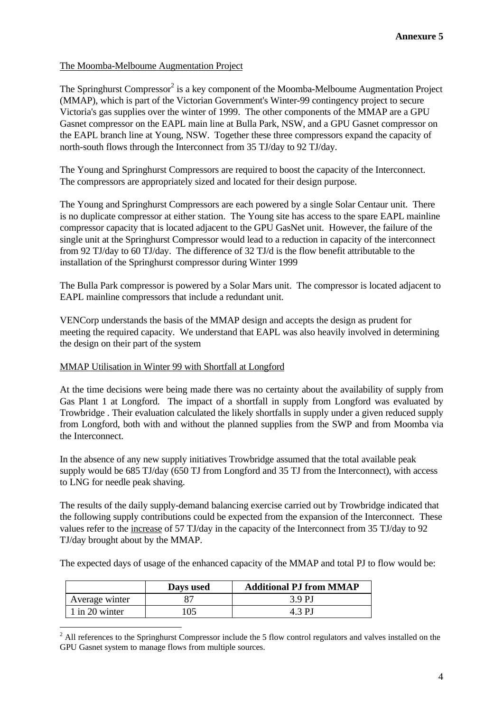#### The Moomba-Melboume Augmentation Project

The Springhurst Compressor<sup>2</sup> is a key component of the Moomba-Melboume Augmentation Project (MMAP), which is part of the Victorian Government's Winter-99 contingency project to secure Victoria's gas supplies over the winter of 1999. The other components of the MMAP are a GPU Gasnet compressor on the EAPL main line at Bulla Park, NSW, and a GPU Gasnet compressor on the EAPL branch line at Young, NSW. Together these three compressors expand the capacity of north-south flows through the Interconnect from 35 TJ/day to 92 TJ/day.

The Young and Springhurst Compressors are required to boost the capacity of the Interconnect. The compressors are appropriately sized and located for their design purpose.

The Young and Springhurst Compressors are each powered by a single Solar Centaur unit. There is no duplicate compressor at either station. The Young site has access to the spare EAPL mainline compressor capacity that is located adjacent to the GPU GasNet unit. However, the failure of the single unit at the Springhurst Compressor would lead to a reduction in capacity of the interconnect from 92 TJ/day to 60 TJ/day. The difference of 32 TJ/d is the flow benefit attributable to the installation of the Springhurst compressor during Winter 1999

The Bulla Park compressor is powered by a Solar Mars unit. The compressor is located adjacent to EAPL mainline compressors that include a redundant unit.

VENCorp understands the basis of the MMAP design and accepts the design as prudent for meeting the required capacity. We understand that EAPL was also heavily involved in determining the design on their part of the system

#### MMAP Utilisation in Winter 99 with Shortfall at Longford

At the time decisions were being made there was no certainty about the availability of supply from Gas Plant 1 at Longford. The impact of a shortfall in supply from Longford was evaluated by Trowbridge . Their evaluation calculated the likely shortfalls in supply under a given reduced supply from Longford, both with and without the planned supplies from the SWP and from Moomba via the Interconnect.

In the absence of any new supply initiatives Trowbridge assumed that the total available peak supply would be 685 TJ/day (650 TJ from Longford and 35 TJ from the Interconnect), with access to LNG for needle peak shaving.

The results of the daily supply-demand balancing exercise carried out by Trowbridge indicated that the following supply contributions could be expected from the expansion of the Interconnect. These values refer to the increase of 57 TJ/day in the capacity of the Interconnect from 35 TJ/day to 92 TJ/day brought about by the MMAP.

The expected days of usage of the enhanced capacity of the MMAP and total PJ to flow would be:

|                | Days used | <b>Additional PJ from MMAP</b> |
|----------------|-----------|--------------------------------|
| Average winter |           | 39PJ                           |
| 1 in 20 winter |           | 4.3 P.I                        |

 $\overline{a}$ 

 $2$  All references to the Springhurst Compressor include the 5 flow control regulators and valves installed on the GPU Gasnet system to manage flows from multiple sources.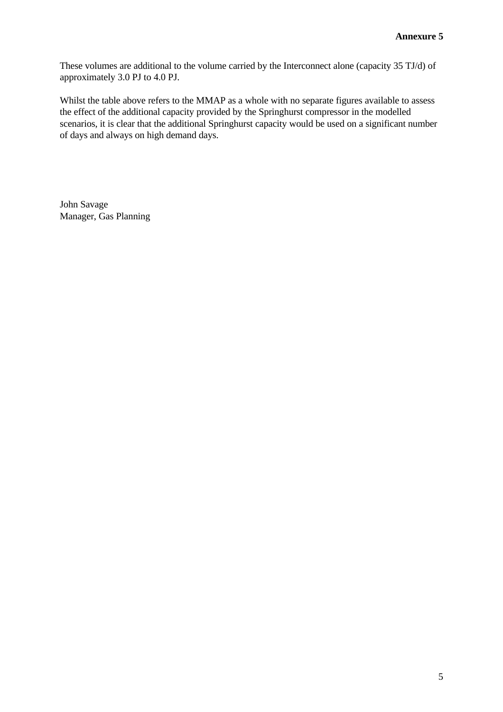These volumes are additional to the volume carried by the Interconnect alone (capacity 35 TJ/d) of approximately 3.0 PJ to 4.0 PJ.

Whilst the table above refers to the MMAP as a whole with no separate figures available to assess the effect of the additional capacity provided by the Springhurst compressor in the modelled scenarios, it is clear that the additional Springhurst capacity would be used on a significant number of days and always on high demand days.

John Savage Manager, Gas Planning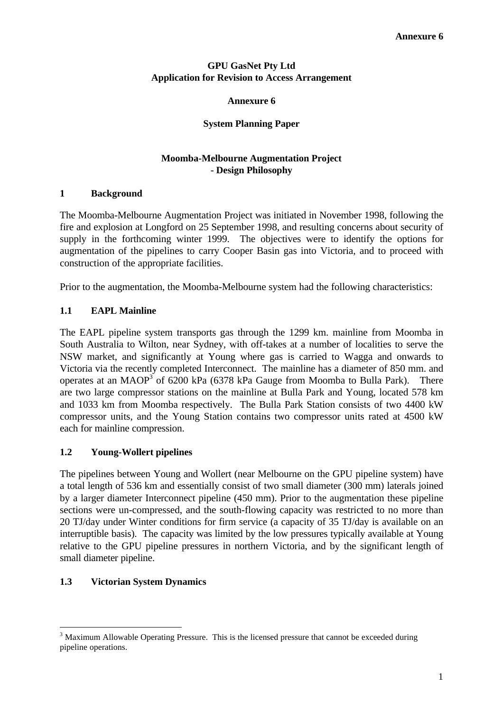# **GPU GasNet Pty Ltd Application for Revision to Access Arrangement**

## **Annexure 6**

# **System Planning Paper**

# **Moomba-Melbourne Augmentation Project - Design Philosophy**

# **1 Background**

The Moomba-Melbourne Augmentation Project was initiated in November 1998, following the fire and explosion at Longford on 25 September 1998, and resulting concerns about security of supply in the forthcoming winter 1999. The objectives were to identify the options for augmentation of the pipelines to carry Cooper Basin gas into Victoria, and to proceed with construction of the appropriate facilities.

Prior to the augmentation, the Moomba-Melbourne system had the following characteristics:

# **1.1 EAPL Mainline**

The EAPL pipeline system transports gas through the 1299 km. mainline from Moomba in South Australia to Wilton, near Sydney, with off-takes at a number of localities to serve the NSW market, and significantly at Young where gas is carried to Wagga and onwards to Victoria via the recently completed Interconnect. The mainline has a diameter of 850 mm. and operates at an MAOP<sup>3</sup> of 6200 kPa (6378 kPa Gauge from Moomba to Bulla Park). There are two large compressor stations on the mainline at Bulla Park and Young, located 578 km and 1033 km from Moomba respectively. The Bulla Park Station consists of two 4400 kW compressor units, and the Young Station contains two compressor units rated at 4500 kW each for mainline compression.

# **1.2 Young-Wollert pipelines**

The pipelines between Young and Wollert (near Melbourne on the GPU pipeline system) have a total length of 536 km and essentially consist of two small diameter (300 mm) laterals joined by a larger diameter Interconnect pipeline (450 mm). Prior to the augmentation these pipeline sections were un-compressed, and the south-flowing capacity was restricted to no more than 20 TJ/day under Winter conditions for firm service (a capacity of 35 TJ/day is available on an interruptible basis). The capacity was limited by the low pressures typically available at Young relative to the GPU pipeline pressures in northern Victoria, and by the significant length of small diameter pipeline.

# **1.3 Victorian System Dynamics**

 $\overline{a}$ 

<sup>&</sup>lt;sup>3</sup> Maximum Allowable Operating Pressure. This is the licensed pressure that cannot be exceeded during pipeline operations.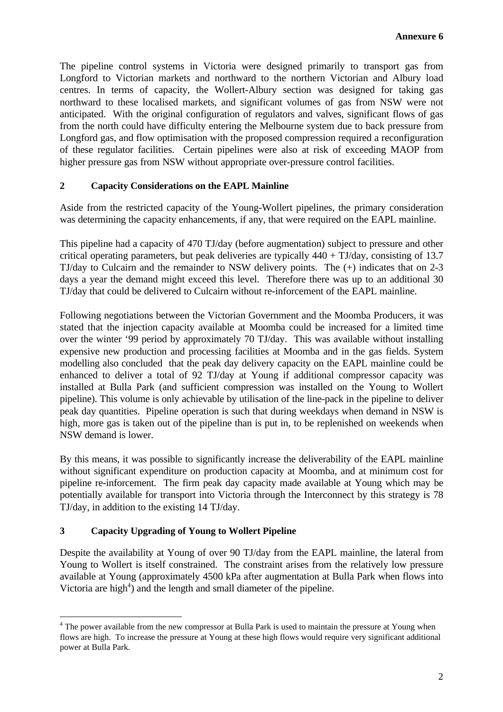The pipeline control systems in Victoria were designed primarily to transport gas from Longford to Victorian markets and northward to the northern Victorian and Albury load centres. In terms of capacity, the Wollert-Albury section was designed for taking gas northward to these localised markets, and significant volumes of gas from NSW were not anticipated. With the original configuration of regulators and valves, significant flows of gas from the north could have difficulty entering the Melbourne system due to back pressure from Longford gas, and flow optimisation with the proposed compression required a reconfiguration of these regulator facilities. Certain pipelines were also at risk of exceeding MAOP from higher pressure gas from NSW without appropriate over-pressure control facilities.

# **2 Capacity Considerations on the EAPL Mainline**

Aside from the restricted capacity of the Young-Wollert pipelines, the primary consideration was determining the capacity enhancements, if any, that were required on the EAPL mainline.

This pipeline had a capacity of 470 TJ/day (before augmentation) subject to pressure and other critical operating parameters, but peak deliveries are typically  $440 + TJ/day$ , consisting of 13.7 TJ/day to Culcairn and the remainder to NSW delivery points. The (+) indicates that on 2-3 days a year the demand might exceed this level. Therefore there was up to an additional 30 TJ/day that could be delivered to Culcairn without re-inforcement of the EAPL mainline.

Following negotiations between the Victorian Government and the Moomba Producers, it was stated that the injection capacity available at Moomba could be increased for a limited time over the winter '99 period by approximately 70 TJ/day. This was available without installing expensive new production and processing facilities at Moomba and in the gas fields. System modelling also concluded that the peak day delivery capacity on the EAPL mainline could be enhanced to deliver a total of 92 TJ/day at Young if additional compressor capacity was installed at Bulla Park (and sufficient compression was installed on the Young to Wollert pipeline). This volume is only achievable by utilisation of the line-pack in the pipeline to deliver peak day quantities. Pipeline operation is such that during weekdays when demand in NSW is high, more gas is taken out of the pipeline than is put in, to be replenished on weekends when NSW demand is lower.

By this means, it was possible to significantly increase the deliverability of the EAPL mainline without significant expenditure on production capacity at Moomba, and at minimum cost for pipeline re-inforcement. The firm peak day capacity made available at Young which may be potentially available for transport into Victoria through the Interconnect by this strategy is 78 TJ/day, in addition to the existing 14 TJ/day.

# **3 Capacity Upgrading of Young to Wollert Pipeline**

 $\overline{a}$ 

Despite the availability at Young of over 90 TJ/day from the EAPL mainline, the lateral from Young to Wollert is itself constrained. The constraint arises from the relatively low pressure available at Young (approximately 4500 kPa after augmentation at Bulla Park when flows into Victoria are high<sup>4</sup>) and the length and small diameter of the pipeline.

<sup>&</sup>lt;sup>4</sup> The power available from the new compressor at Bulla Park is used to maintain the pressure at Young when flows are high. To increase the pressure at Young at these high flows would require very significant additional power at Bulla Park.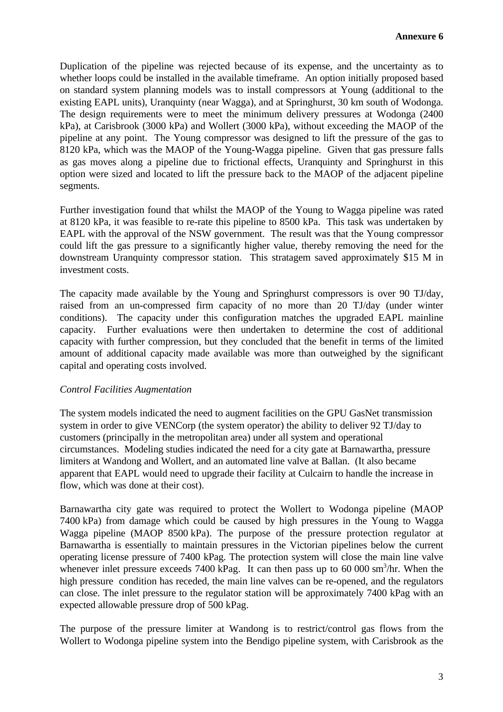Duplication of the pipeline was rejected because of its expense, and the uncertainty as to whether loops could be installed in the available timeframe. An option initially proposed based on standard system planning models was to install compressors at Young (additional to the existing EAPL units), Uranquinty (near Wagga), and at Springhurst, 30 km south of Wodonga. The design requirements were to meet the minimum delivery pressures at Wodonga (2400 kPa), at Carisbrook (3000 kPa) and Wollert (3000 kPa), without exceeding the MAOP of the pipeline at any point. The Young compressor was designed to lift the pressure of the gas to 8120 kPa, which was the MAOP of the Young-Wagga pipeline. Given that gas pressure falls as gas moves along a pipeline due to frictional effects, Uranquinty and Springhurst in this option were sized and located to lift the pressure back to the MAOP of the adjacent pipeline segments.

Further investigation found that whilst the MAOP of the Young to Wagga pipeline was rated at 8120 kPa, it was feasible to re-rate this pipeline to 8500 kPa. This task was undertaken by EAPL with the approval of the NSW government. The result was that the Young compressor could lift the gas pressure to a significantly higher value, thereby removing the need for the downstream Uranquinty compressor station. This stratagem saved approximately \$15 M in investment costs.

The capacity made available by the Young and Springhurst compressors is over 90 TJ/day, raised from an un-compressed firm capacity of no more than 20 TJ/day (under winter conditions). The capacity under this configuration matches the upgraded EAPL mainline capacity. Further evaluations were then undertaken to determine the cost of additional capacity with further compression, but they concluded that the benefit in terms of the limited amount of additional capacity made available was more than outweighed by the significant capital and operating costs involved.

#### *Control Facilities Augmentation*

The system models indicated the need to augment facilities on the GPU GasNet transmission system in order to give VENCorp (the system operator) the ability to deliver 92 TJ/day to customers (principally in the metropolitan area) under all system and operational circumstances. Modeling studies indicated the need for a city gate at Barnawartha, pressure limiters at Wandong and Wollert, and an automated line valve at Ballan. (It also became apparent that EAPL would need to upgrade their facility at Culcairn to handle the increase in flow, which was done at their cost).

Barnawartha city gate was required to protect the Wollert to Wodonga pipeline (MAOP 7400 kPa) from damage which could be caused by high pressures in the Young to Wagga Wagga pipeline (MAOP 8500 kPa). The purpose of the pressure protection regulator at Barnawartha is essentially to maintain pressures in the Victorian pipelines below the current operating license pressure of 7400 kPag. The protection system will close the main line valve whenever inlet pressure exceeds 7400 kPag. It can then pass up to 60 000  $\text{sm}^3/\text{hr}$ . When the high pressure condition has receded, the main line valves can be re-opened, and the regulators can close. The inlet pressure to the regulator station will be approximately 7400 kPag with an expected allowable pressure drop of 500 kPag.

The purpose of the pressure limiter at Wandong is to restrict/control gas flows from the Wollert to Wodonga pipeline system into the Bendigo pipeline system, with Carisbrook as the